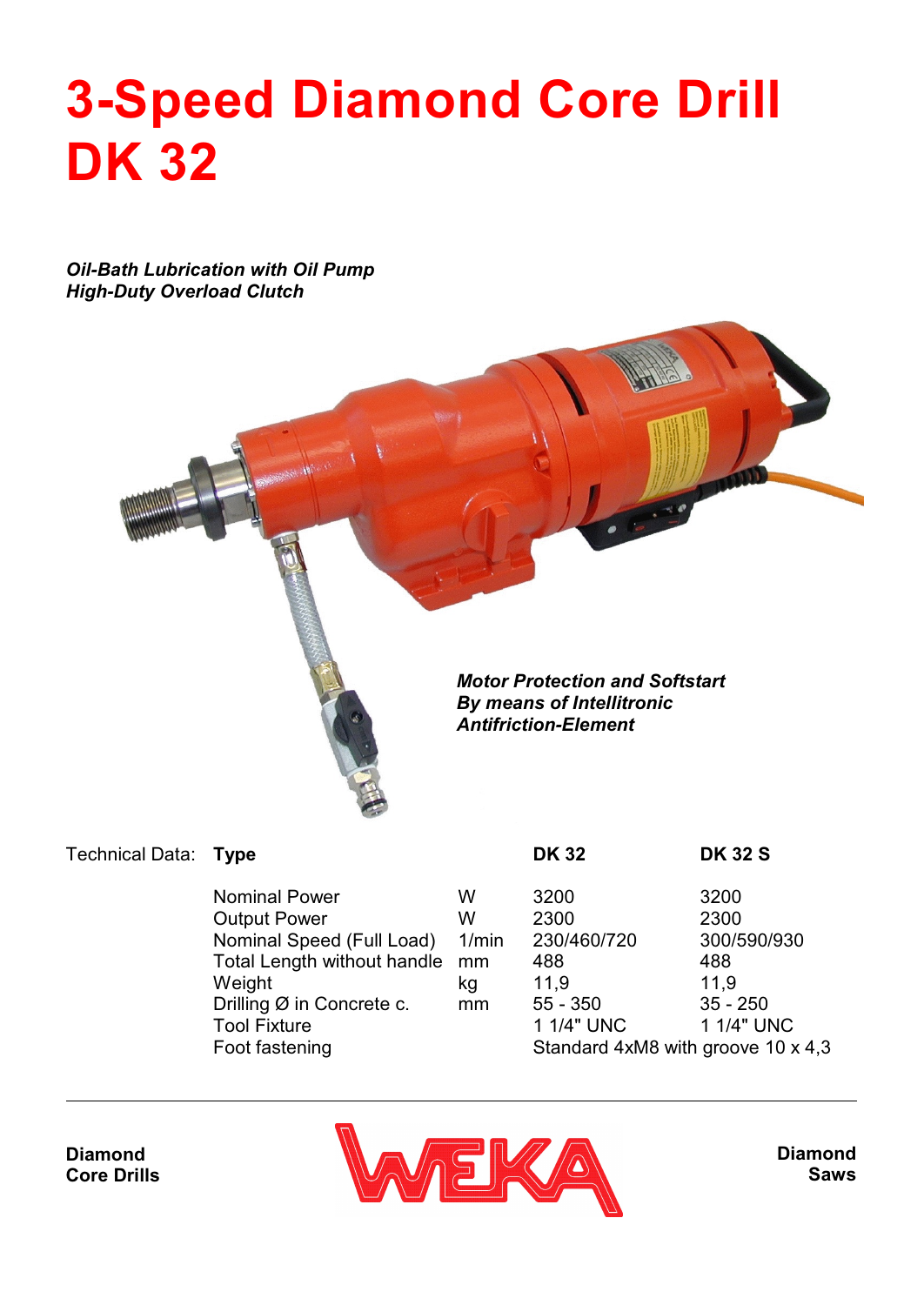## **3-Speed Diamond Core Drill DK 32**

*Oil-Bath Lubrication with Oil Pump High-Duty Overload Clutch*



| Technical Data: Type |                                |          | <b>DK 32</b> | <b>DK 32 S</b> |
|----------------------|--------------------------------|----------|--------------|----------------|
|                      | <b>Nominal Power</b>           | w        | 3200         | 3200           |
|                      | <b>Output Power</b>            | w        | 2300         | 2300           |
|                      | Nominal Speed (Full Load)      | $1/m$ in | 230/460/720  | 300/590        |
|                      | Total Longth without hondle mm |          | 400          | 400.           |

**Tool Fixture** 

in 230/460/720 300/590/930<br>488 488 Total Length without handle mm 488 488 Weight kg 11,9 11,9 Drilling Ø in Concrete c. mm 55 - 350 35 - 250<br>Tool Fixture 1 1/4" UNC 35 - 1 1/4" UNC Foot fastening Standard 4xM8 with groove 10 x 4,3

**Diamond Core Drills**



**Diamond Saws**